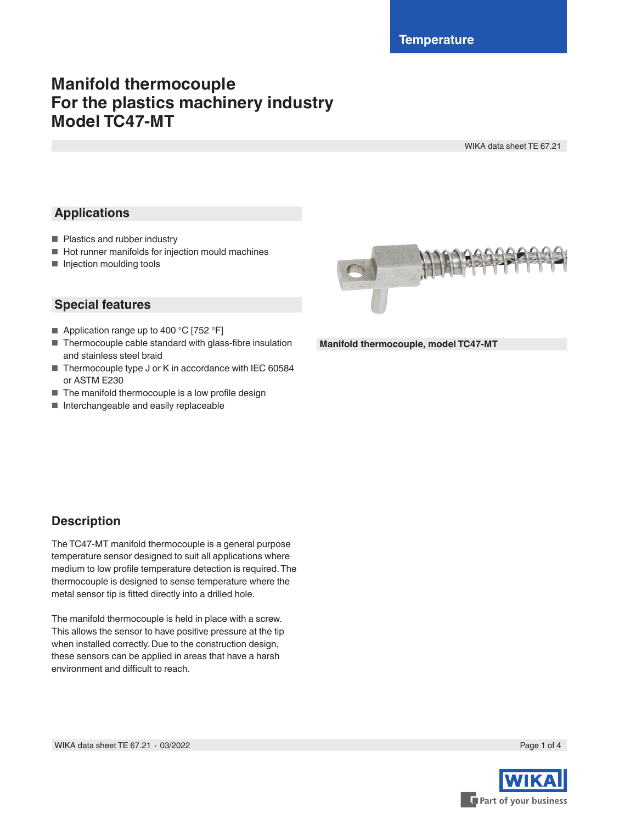# **Manifold thermocouple For the plastics machinery industry Model TC47-MT**

WIKA data sheet TE 67.21

# **Applications**

- Plastics and rubber industry
- Hot runner manifolds for injection mould machines
- Injection moulding tools

### **Special features**

- Application range up to 400 °C [752 °F]
- Thermocouple cable standard with glass-fibre insulation and stainless steel braid
- Thermocouple type J or K in accordance with IEC 60584 or ASTM E230
- The manifold thermocouple is a low profile design
- Interchangeable and easily replaceable



**Manifold thermocouple, model TC47-MT**

## **Description**

The TC47-MT manifold thermocouple is a general purpose temperature sensor designed to suit all applications where medium to low profile temperature detection is required. The thermocouple is designed to sense temperature where the metal sensor tip is fitted directly into a drilled hole.

The manifold thermocouple is held in place with a screw. This allows the sensor to have positive pressure at the tip when installed correctly. Due to the construction design, these sensors can be applied in areas that have a harsh environment and difficult to reach.

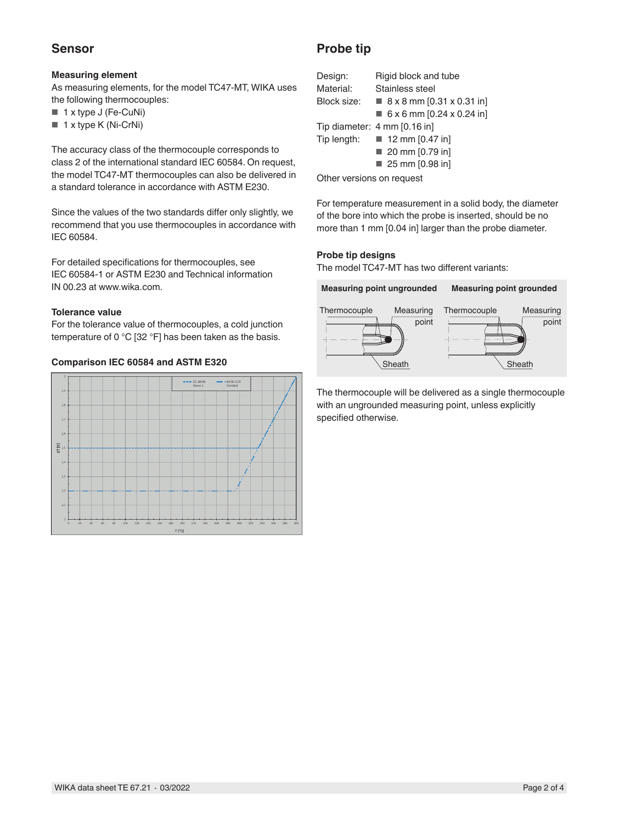## **Sensor**

### **Measuring element**

As measuring elements, for the model TC47-MT, WIKA uses the following thermocouples:

- 1 x type J (Fe-CuNi)
- 1 x type K (Ni-CrNi)

The accuracy class of the thermocouple corresponds to class 2 of the international standard IEC 60584. On request, the model TC47-MT thermocouples can also be delivered in a standard tolerance in accordance with ASTM E230.

Since the values of the two standards differ only slightly, we recommend that you use thermocouples in accordance with IEC 60584.

For detailed specifications for thermocouples, see IEC 60584-1 or ASTM E230 and Technical information IN 00.23 at www.wika.com.

### **Tolerance value**

For the tolerance value of thermocouples, a cold junction temperature of 0 °C [32 °F] has been taken as the basis.

### **Comparison IEC 60584 and ASTM E320**



### **Probe tip**

| Design:                                  | Rigid block and tube                       |  |  |
|------------------------------------------|--------------------------------------------|--|--|
| Material:                                | Stainless steel                            |  |  |
| Block size:                              | $\blacksquare$ 8 x 8 mm [0.31 x 0.31 in]   |  |  |
|                                          | $\blacksquare$ 6 x 6 mm [0.24 x 0.24 in]   |  |  |
|                                          | Tip diameter: 4 mm [0.16 in]               |  |  |
|                                          | Tip length: $\blacksquare$ 12 mm [0.47 in] |  |  |
|                                          | 20 mm [0.79 in]                            |  |  |
|                                          | 25 mm [0.98 in]                            |  |  |
| Attached the continues of the continues. |                                            |  |  |

Other versions on request

For temperature measurement in a solid body, the diameter of the bore into which the probe is inserted, should be no more than 1 mm [0.04 in] larger than the probe diameter.

### **Probe tip designs**

The model TC47-MT has two different variants:



The thermocouple will be delivered as a single thermocouple with an ungrounded measuring point, unless explicitly specified otherwise.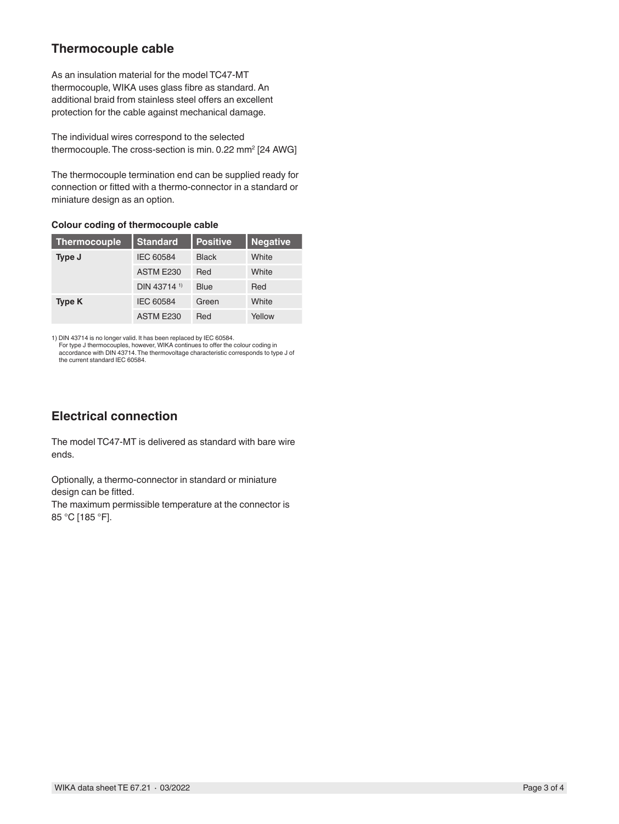# **Thermocouple cable**

As an insulation material for the model TC47-MT thermocouple, WIKA uses glass fibre as standard. An additional braid from stainless steel offers an excellent protection for the cable against mechanical damage.

The individual wires correspond to the selected thermocouple. The cross-section is min. 0.22  $\mathsf{mm}^{\mathsf{2}}$  [24  $\mathsf{AWG}]$ 

The thermocouple termination end can be supplied ready for connection or fitted with a thermo-connector in a standard or miniature design as an option.

**Colour coding of thermocouple cable**

| <b>Thermocouple</b> | <b>Standard</b>         | <b>Positive</b> | <b>Negative</b> |
|---------------------|-------------------------|-----------------|-----------------|
| Type J              | IEC 60584               | <b>Black</b>    | White           |
|                     | ASTM E230               | Red             | White           |
|                     | DIN 43714 <sup>1)</sup> | <b>Blue</b>     | Red             |
| Type K              | IEC 60584               | Green           | White           |
|                     | ASTM E230               | Red             | Yellow          |

1) DIN 43714 is no longer valid. It has been replaced by IEC 60584.

For type J thermocouples, however, WIKA continues to offer the colour coding in accordance with DIN 43714. The thermovoltage characteristic corresponds to type J of the current standard IEC 60584.

# **Electrical connection**

The model TC47-MT is delivered as standard with bare wire ends.

Optionally, a thermo-connector in standard or miniature design can be fitted.

The maximum permissible temperature at the connector is 85 °C [185 °F].